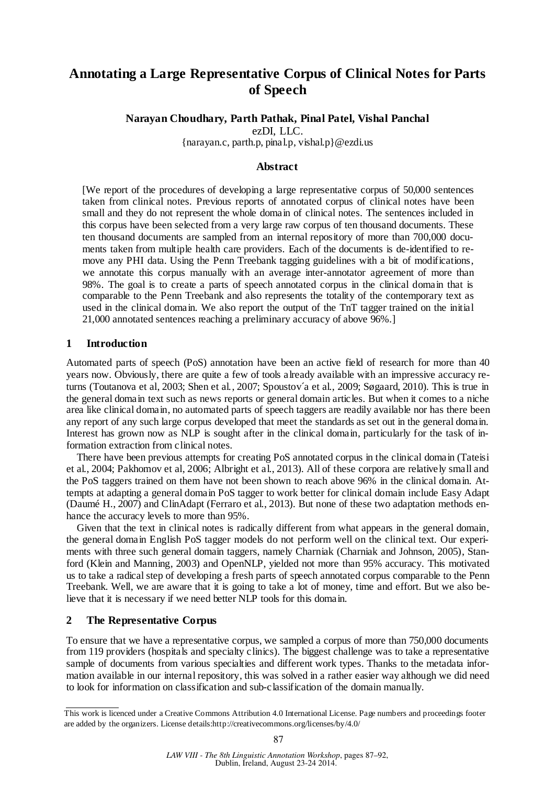## **Annotating a Large Representative Corpus of Clinical Notes for Parts of Speech**

## **Narayan Choudhary, Parth Pathak, Pinal Patel, Vishal Panchal**

ezDI, LLC.

{narayan.c, parth.p, pinal.p, vishal.p}@ezdi.us

#### **Abstract**

[We report of the procedures of developing a large representative corpus of 50,000 sentences taken from clinical notes. Previous reports of annotated corpus of clinical notes have been small and they do not represent the whole domain of clinical notes. The sentences included in this corpus have been selected from a very large raw corpus of ten thousand documents. These ten thousand documents are sampled from an internal repository of more than 700,000 documents taken from multiple health care providers. Each of the documents is de-identified to remove any PHI data. Using the Penn Treebank tagging guidelines with a bit of modifications, we annotate this corpus manually with an average inter-annotator agreement of more than 98%. The goal is to create a parts of speech annotated corpus in the clinical domain that is comparable to the Penn Treebank and also represents the totality of the contemporary text as used in the clinical domain. We also report the output of the TnT tagger trained on the initial 21,000 annotated sentences reaching a preliminary accuracy of above 96%.]

## **1 Introduction**

Automated parts of speech (PoS) annotation have been an active field of research for more than 40 years now. Obviously, there are quite a few of tools already available with an impressive accuracy returns (Toutanova et al, 2003; Shen et al., 2007; Spoustov´a et al., 2009; Søgaard, 2010). This is true in the general domain text such as news reports or general domain articles. But when it comes to a niche area like clinical domain, no automated parts of speech taggers are readily available nor has there been any report of any such large corpus developed that meet the standards as set out in the general domain. Interest has grown now as NLP is sought after in the clinical domain, particularly for the task of information extraction from clinical notes.

There have been previous attempts for creating PoS annotated corpus in the clinical domain (Tateisi et al., 2004; Pakhomov et al, 2006; Albright et al., 2013). All of these corpora are relatively small and the PoS taggers trained on them have not been shown to reach above 96% in the clinical domain. Attempts at adapting a general domain PoS tagger to work better for clinical domain include Easy Adapt (Daumé H., 2007) and ClinAdapt (Ferraro et al., 2013). But none of these two adaptation methods enhance the accuracy levels to more than 95%.

Given that the text in clinical notes is radically different from what appears in the general domain, the general domain English PoS tagger models do not perform well on the clinical text. Our experiments with three such general domain taggers, namely Charniak (Charniak and Johnson, 2005), Stanford (Klein and Manning, 2003) and OpenNLP, yielded not more than 95% accuracy. This motivated us to take a radical step of developing a fresh parts of speech annotated corpus comparable to the Penn Treebank. Well, we are aware that it is going to take a lot of money, time and effort. But we also believe that it is necessary if we need better NLP tools for this domain.

## **2 The Representative Corpus**

To ensure that we have a representative corpus, we sampled a corpus of more than 750,000 documents from 119 providers (hospitals and specialty clinics). The biggest challenge was to take a representative sample of documents from various specialties and different work types. Thanks to the metadata information available in our internal repository, this was solved in a rather easier way although we did need to look for information on classification and sub-classification of the domain manually.

This work is licenced under a Creative Commons Attribution 4.0 International License. Page numbers and proceedings footer are added by the organizers. License details:http://creativecommons.org/licenses/by/4.0/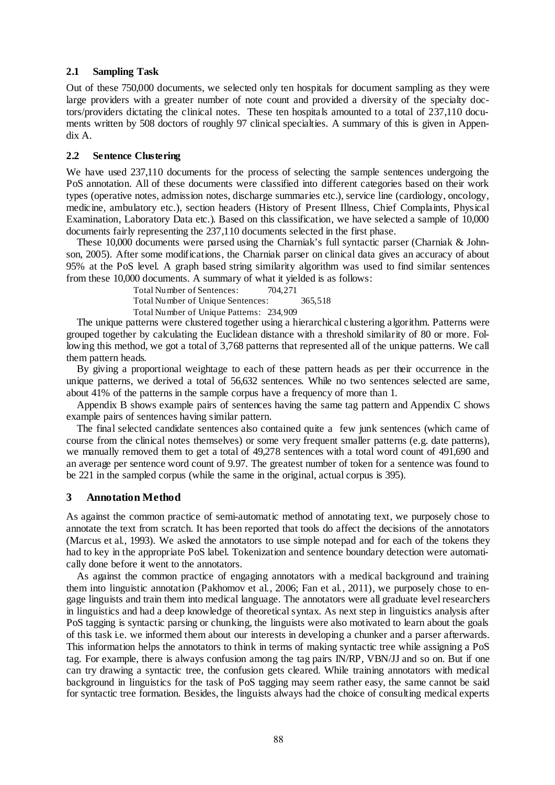#### **2.1 Sampling Task**

Out of these 750,000 documents, we selected only ten hospitals for document sampling as they were large providers with a greater number of note count and provided a diversity of the specialty doctors/providers dictating the clinical notes. These ten hospitals amounted to a total of 237,110 documents written by 508 doctors of roughly 97 clinical specialties. A summary of this is given in Appendix A.

#### **2.2 Sentence Clustering**

We have used 237,110 documents for the process of selecting the sample sentences undergoing the PoS annotation. All of these documents were classified into different categories based on their work types (operative notes, admission notes, discharge summaries etc.), service line (cardiology, oncology, medicine, ambulatory etc.), section headers (History of Present Illness, Chief Complaints, Physical Examination, Laboratory Data etc.). Based on this classification, we have selected a sample of 10,000 documents fairly representing the 237,110 documents selected in the first phase.

These 10,000 documents were parsed using the Charniak's full syntactic parser (Charniak & Johnson, 2005). After some modifications, the Charniak parser on clinical data gives an accuracy of about 95% at the PoS level. A graph based string similarity algorithm was used to find similar sentences from these 10,000 documents. A summary of what it yielded is as follows:

Total Number of Sentences: 704,271

Total Number of Unique Sentences: 365,518

Total Number of Unique Patterns: 234,909

The unique patterns were clustered together using a hierarchical clustering algorithm. Patterns were grouped together by calculating the Euclidean distance with a threshold similarity of 80 or more. Following this method, we got a total of 3,768 patterns that represented all of the unique patterns. We call them pattern heads.

By giving a proportional weightage to each of these pattern heads as per their occurrence in the unique patterns, we derived a total of 56,632 sentences. While no two sentences selected are same, about 41% of the patterns in the sample corpus have a frequency of more than 1.

Appendix B shows example pairs of sentences having the same tag pattern and Appendix C shows example pairs of sentences having similar pattern.

The final selected candidate sentences also contained quite a few junk sentences (which came of course from the clinical notes themselves) or some very frequent smaller patterns (e.g. date patterns), we manually removed them to get a total of 49,278 sentences with a total word count of 491,690 and an average per sentence word count of 9.97. The greatest number of token for a sentence was found to be 221 in the sampled corpus (while the same in the original, actual corpus is 395).

## **3 Annotation Method**

As against the common practice of semi-automatic method of annotating text, we purposely chose to annotate the text from scratch. It has been reported that tools do affect the decisions of the annotators (Marcus et al., 1993). We asked the annotators to use simple notepad and for each of the tokens they had to key in the appropriate PoS label. Tokenization and sentence boundary detection were automatically done before it went to the annotators.

As against the common practice of engaging annotators with a medical background and training them into linguistic annotation (Pakhomov et al., 2006; Fan et al., 2011), we purposely chose to engage linguists and train them into medical language. The annotators were all graduate level researchers in linguistics and had a deep knowledge of theoretical syntax. As next step in linguistics analysis after PoS tagging is syntactic parsing or chunking, the linguists were also motivated to learn about the goals of this task i.e. we informed them about our interests in developing a chunker and a parser afterwards. This information helps the annotators to think in terms of making syntactic tree while assigning a PoS tag. For example, there is always confusion among the tag pairs IN/RP, VBN/JJ and so on. But if one can try drawing a syntactic tree, the confusion gets cleared. While training annotators with medical background in linguistics for the task of PoS tagging may seem rather easy, the same cannot be said for syntactic tree formation. Besides, the linguists always had the choice of consulting medical experts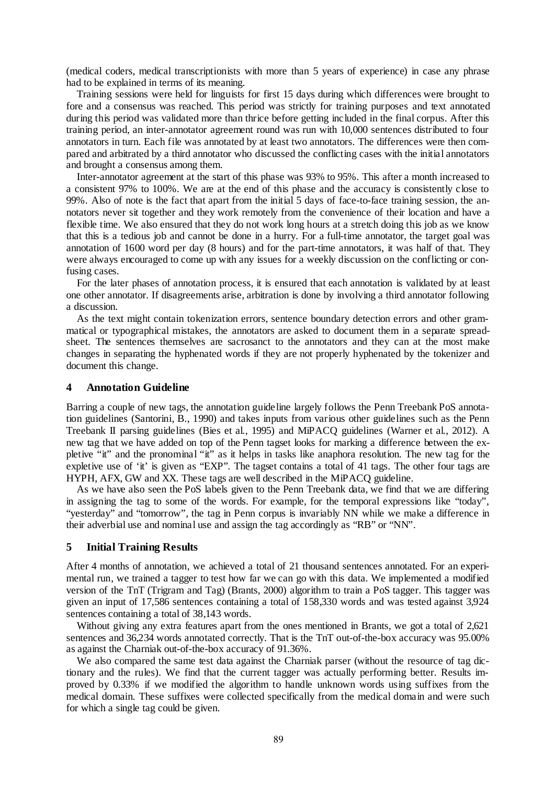(medical coders, medical transcriptionists with more than 5 years of experience) in case any phrase had to be explained in terms of its meaning.

Training sessions were held for linguists for first 15 days during which differences were brought to fore and a consensus was reached. This period was strictly for training purposes and text annotated during this period was validated more than thrice before getting included in the final corpus. After this training period, an inter-annotator agreement round was run with 10,000 sentences distributed to four annotators in turn. Each file was annotated by at least two annotators. The differences were then compared and arbitrated by a third annotator who discussed the conflicting cases with the initial annotators and brought a consensus among them.

Inter-annotator agreement at the start of this phase was 93% to 95%. This after a month increased to a consistent 97% to 100%. We are at the end of this phase and the accuracy is consistently close to 99%. Also of note is the fact that apart from the initial 5 days of face-to-face training session, the annotators never sit together and they work remotely from the convenience of their location and have a flexible time. We also ensured that they do not work long hours at a stretch doing this job as we know that this is a tedious job and cannot be done in a hurry. For a full-time annotator, the target goal was annotation of 1600 word per day (8 hours) and for the part-time annotators, it was half of that. They were always encouraged to come up with any issues for a weekly discussion on the conflicting or confusing cases.

For the later phases of annotation process, it is ensured that each annotation is validated by at least one other annotator. If disagreements arise, arbitration is done by involving a third annotator following a discussion.

As the text might contain tokenization errors, sentence boundary detection errors and other grammatical or typographical mistakes, the annotators are asked to document them in a separate spreadsheet. The sentences themselves are sacrosanct to the annotators and they can at the most make changes in separating the hyphenated words if they are not properly hyphenated by the tokenizer and document this change.

#### **4 Annotation Guideline**

Barring a couple of new tags, the annotation guideline largely follows the Penn Treebank PoS annotation guidelines (Santorini, B., 1990) and takes inputs from various other guidelines such as the Penn Treebank II parsing guidelines (Bies et al., 1995) and MiPACQ guidelines (Warner et al., 2012). A new tag that we have added on top of the Penn tagset looks for marking a difference between the expletive "it" and the pronominal "it" as it helps in tasks like anaphora resolution. The new tag for the expletive use of 'it' is given as "EXP". The tagset contains a total of 41 tags. The other four tags are HYPH, AFX, GW and XX. These tags are well described in the MiPACQ guideline.

As we have also seen the PoS labels given to the Penn Treebank data, we find that we are differing in assigning the tag to some of the words. For example, for the temporal expressions like "today", "yesterday" and "tomorrow", the tag in Penn corpus is invariably NN while we make a difference in their adverbial use and nominal use and assign the tag accordingly as "RB" or "NN".

#### **5 Initial Training Results**

After 4 months of annotation, we achieved a total of 21 thousand sentences annotated. For an experimental run, we trained a tagger to test how far we can go with this data. We implemented a modified version of the TnT (Trigram and Tag) (Brants, 2000) algorithm to train a PoS tagger. This tagger was given an input of 17,586 sentences containing a total of 158,330 words and was tested against 3,924 sentences containing a total of 38,143 words.

Without giving any extra features apart from the ones mentioned in Brants, we got a total of 2,621 sentences and 36,234 words annotated correctly. That is the TnT out-of-the-box accuracy was 95.00% as against the Charniak out-of-the-box accuracy of 91.36%.

We also compared the same test data against the Charniak parser (without the resource of tag dictionary and the rules). We find that the current tagger was actually performing better. Results improved by 0.33% if we modified the algorithm to handle unknown words using suffixes from the medical domain. These suffixes were collected specifically from the medical domain and were such for which a single tag could be given.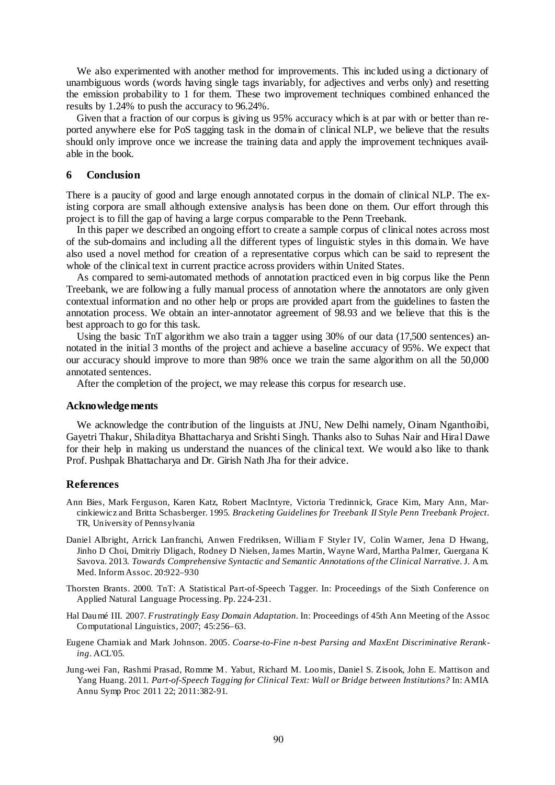We also experimented with another method for improvements. This included using a dictionary of unambiguous words (words having single tags invariably, for adjectives and verbs only) and resetting the emission probability to 1 for them. These two improvement techniques combined enhanced the results by 1.24% to push the accuracy to 96.24%.

Given that a fraction of our corpus is giving us 95% accuracy which is at par with or better than reported anywhere else for PoS tagging task in the domain of clinical NLP, we believe that the results should only improve once we increase the training data and apply the improvement techniques available in the book.

#### **6 Conclusion**

There is a paucity of good and large enough annotated corpus in the domain of clinical NLP. The existing corpora are small although extensive analysis has been done on them. Our effort through this project is to fill the gap of having a large corpus comparable to the Penn Treebank.

In this paper we described an ongoing effort to create a sample corpus of clinical notes across most of the sub-domains and including all the different types of linguistic styles in this domain. We have also used a novel method for creation of a representative corpus which can be said to represent the whole of the clinical text in current practice across providers within United States.

As compared to semi-automated methods of annotation practiced even in big corpus like the Penn Treebank, we are following a fully manual process of annotation where the annotators are only given contextual information and no other help or props are provided apart from the guidelines to fasten the annotation process. We obtain an inter-annotator agreement of 98.93 and we believe that this is the best approach to go for this task.

Using the basic TnT algorithm we also train a tagger using 30% of our data (17,500 sentences) annotated in the initial 3 months of the project and achieve a baseline accuracy of 95%. We expect that our accuracy should improve to more than 98% once we train the same algorithm on all the 50,000 annotated sentences.

After the completion of the project, we may release this corpus for research use.

#### **Acknowledgements**

We acknowledge the contribution of the linguists at JNU, New Delhi namely, Oinam Nganthoibi, Gayetri Thakur, Shiladitya Bhattacharya and Srishti Singh. Thanks also to Suhas Nair and Hiral Dawe for their help in making us understand the nuances of the clinical text. We would also like to thank Prof. Pushpak Bhattacharya and Dr. Girish Nath Jha for their advice.

#### **References**

- Ann Bies, Mark Ferguson, Karen Katz, Robert MacIntyre, Victoria Tredinnick, Grace Kim, Mary Ann, Marcinkiewicz and Britta Schasberger. 1995. *Bracketing Guidelines for Treebank II Style Penn Treebank Project*. TR, University of Pennsylvania
- Daniel Albright, Arrick Lanfranchi, Anwen Fredriksen, William F Styler IV, Colin Warner, Jena D Hwang, Jinho D Choi, Dmitriy Dligach, Rodney D Nielsen, James Martin, Wayne Ward, Martha Palmer, Guergana K Savova. 2013. *Towards Comprehensive Syntactic and Semantic Annotations of the Clinical Narrative*. J. Am. Med. Inform Assoc. 20:922–930
- Thorsten Brants. 2000. TnT: A Statistical Part-of-Speech Tagger. In: Proceedings of the Sixth Conference on Applied Natural Language Processing. Pp. 224-231.
- Hal Daumé III. 2007. *Frustratingly Easy Domain Adaptation.* In: Proceedings of 45th Ann Meeting of the Assoc Computational Linguistics, 2007; 45:256–63.
- Eugene Charniak and Mark Johnson. 2005. *Coarse-to-Fine n-best Parsing and MaxEnt Discriminative Reranking*. ACL'05.
- Jung-wei Fan, Rashmi Prasad, Romme M. Yabut, Richard M. Loomis, Daniel S. Zisook, John E. Mattison and Yang Huang. 2011. *Part-of-Speech Tagging for Clinical Text: Wall or Bridge between Institutions?* In: AMIA Annu Symp Proc 2011 22; 2011:382-91.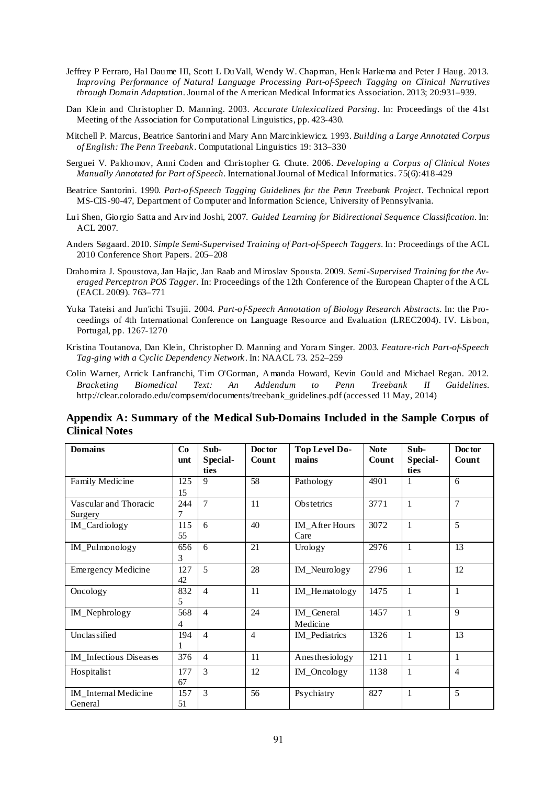- Jeffrey P Ferraro, Hal Daume III, Scott L Du Vall, Wendy W. Chapman, Henk Harkema and Peter J Haug. 2013. *Improving Performance of Natural Language Processing Part-of-Speech Tagging on Clinical Narratives through Domain Adaptation*. Journal of the American Medical Informatics Association. 2013; 20:931–939.
- Dan Klein and Christopher D. Manning. 2003. *Accurate Unlexicalized Parsing*. In: Proceedings of the 41st Meeting of the Association for Computational Linguistics, pp. 423-430.
- Mitchell P. Marcus, Beatrice Santorini and Mary Ann Marcinkiewicz. 1993. *Building a Large Annotated Corpus of English: The Penn Treebank*. Computational Linguistics 19: 313–330
- Serguei V. Pakhomov, Anni Coden and Christopher G. Chute. 2006. *Developing a Corpus of Clinical Notes Manually Annotated for Part of Speech*. International Journal of Medical Informatics. 75(6):418-429
- Beatrice Santorini. 1990. *Part-of-Speech Tagging Guidelines for the Penn Treebank Project*. Technical report MS-CIS-90-47, Department of Computer and Information Science, University of Pennsylvania.
- Lui Shen, Giorgio Satta and Arvind Joshi, 2007. *Guided Learning for Bidirectional Sequence Classification*. In: ACL 2007.
- Anders Søgaard. 2010. *Simple Semi-Supervised Training of Part-of-Speech Taggers*. In: Proceedings of the ACL 2010 Conference Short Papers. 205–208
- Drahomira J. Spoustova, Jan Hajic, Jan Raab and Miroslav Spousta. 2009. *Semi-Supervised Training for the Averaged Perceptron POS Tagger*. In: Proceedings of the 12th Conference of the European Chapter of the ACL (EACL 2009). 763–771
- Yuka Tateisi and Jun'ichi Tsujii. 2004. *Part-of-Speech Annotation of Biology Research Abstracts*. In: the Proceedings of 4th International Conference on Language Resource and Evaluation (LREC2004). IV. Lisbon, Portugal, pp. 1267-1270
- Kristina Toutanova, Dan Klein, Christopher D. Manning and Yoram Singer. 2003. *Feature-rich Part-of-Speech Tag-ging with a Cyclic Dependency Network*. In: NAACL 73. 252–259
- Colin Warner, Arrick Lanfranchi, Tim O'Gorman, Amanda Howard, Kevin Gould and Michael Regan. 2012. *Bracketing Biomedical Text: An Addendum to Penn Treebank II Guidelines*. http://clear.colorado.edu/compsem/documents/treebank\_guidelines.pdf (accessed 11 May, 2014)

## **Appendix A: Summary of the Medical Sub-Domains Included in the Sample Corpus of Clinical Notes**

| <b>Domains</b>                   | Co        | Sub-<br>Special- | Doctor<br>Count | Top Level Do-<br>mains | <b>Note</b><br>Count | Sub-<br>Special- | Doctor<br>Count |
|----------------------------------|-----------|------------------|-----------------|------------------------|----------------------|------------------|-----------------|
|                                  | unt       | ties             |                 |                        |                      | ties             |                 |
| Family Medicine                  | 125<br>15 | 9                | 58              | Pathology              | 4901                 | 1                | 6               |
| Vascular and Thoracic<br>Surgery | 244<br>7  | $\overline{7}$   | 11              | Obstetrics             | 3771                 | $\mathbf{1}$     | $\overline{7}$  |
| IM_Cardiology                    | 115<br>55 | 6                | 40              | IM_After Hours<br>Care | 3072                 | $\mathbf{1}$     | 5               |
| IM_Pulmonology                   | 656<br>3  | 6                | 21              | Urology                | 2976                 | $\mathbf{1}$     | 13              |
| <b>Emergency Medicine</b>        | 127<br>42 | 5                | 28              | IM_Neurology           | 2796                 | $\mathbf{1}$     | 12              |
| Oncology                         | 832<br>5  | $\overline{4}$   | 11              | IM_Hematology          | 1475                 | 1                | 1               |
| IM_Nephrology                    | 568<br>4  | $\overline{4}$   | 24              | IM General<br>Medicine | 1457                 | $\mathbf{1}$     | $\mathbf{Q}$    |
| Unclassified                     | 194       | $\overline{4}$   | $\overline{4}$  | IM_Pediatrics          | 1326                 | $\mathbf{1}$     | 13              |
| IM Infectious Diseases           | 376       | $\overline{4}$   | 11              | Anesthesiology         | 1211                 | 1                | $\mathbf{1}$    |
| Hospitalist                      | 177<br>67 | $\mathcal{E}$    | 12              | IM_Oncology            | 1138                 | 1                | $\overline{4}$  |
| IM Internal Medicine<br>General  | 157<br>51 | $\mathcal{E}$    | 56              | Psychiatry             | 827                  | $\mathbf{1}$     | 5               |